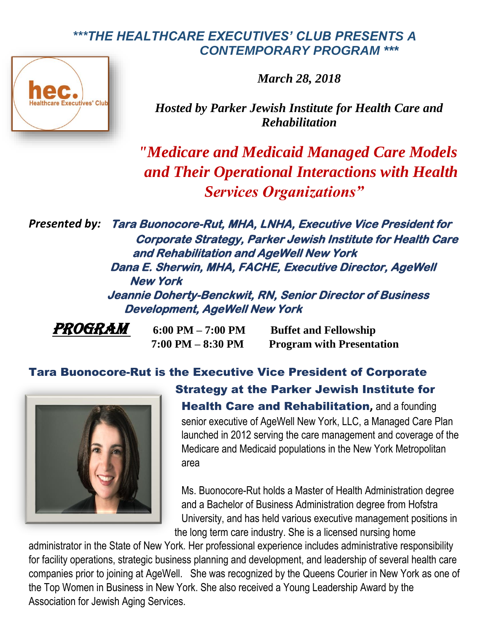## *\*\*\*THE HEALTHCARE EXECUTIVES' CLUB PRESENTS A CONTEMPORARY PROGRAM \*\*\**

*March 28, 2018*



*Hosted by Parker Jewish Institute for Health Care and Rehabilitation*

*"Medicare and Medicaid Managed Care Models and Their Operational Interactions with Health Services Organizations"*

*Presented by:* **Tara Buonocore-Rut, MHA, LNHA, Executive Vice President for Corporate Strategy, Parker Jewish Institute for Health Care and Rehabilitation and AgeWell New York Dana E. Sherwin, MHA, FACHE, Executive Director, AgeWell New York Jeannie Doherty-Benckwit, RN, Senior Director of Business Development, AgeWell New York**

*PROGRAM* 6:00 PM – 7:00 PM Buffet and Fellowship  **7:00 PM – 8:30 PM Program with Presentation**

## Tara Buonocore-Rut is the Executive Vice President of Corporate



Strategy at the Parker Jewish Institute for Health Care and Rehabilitation**,** and a founding senior executive of AgeWell New York, LLC, a Managed Care Plan launched in 2012 serving the care management and coverage of the Medicare and Medicaid populations in the New York Metropolitan area

Ms. Buonocore-Rut holds a Master of Health Administration degree and a Bachelor of Business Administration degree from Hofstra University, and has held various executive management positions in the long term care industry. She is a licensed nursing home

administrator in the State of New York. Her professional experience includes administrative responsibility for facility operations, strategic business planning and development, and leadership of several health care companies prior to joining at AgeWell. She was recognized by the Queens Courier in New York as one of the Top Women in Business in New York. She also received a Young Leadership Award by the Association for Jewish Aging Services.